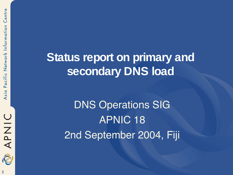Centre

**Status report on primary and secondary DNS load**

> DNS Operations SIG APNIC 18 2nd September 2004, Fiji



NINADIO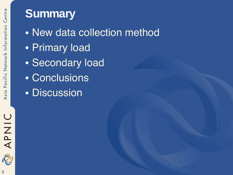#### **Summary**

• New data collection method • Primary load • Secondary load • Conclusions • Discussion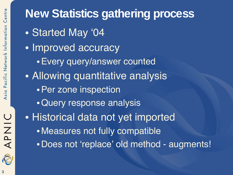# APNIC 2

# **New Statistics gathering process**

- Started May '04
- Improved accuracy
	- •Every query/answer counted
- Allowing quantitative analysis
	- •Per zone inspection
	- •Query response analysis
- Historical data not yet imported
	- Measures not fully compatible
	- •Does not 'replace' old method augments!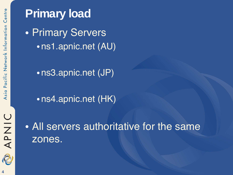**Primary load** • Primary Servers • ns1.apnic.net (AU)

• ns3.apnic.net (JP)

• ns4.apnic.net (HK)



• All servers authoritative for the same zones.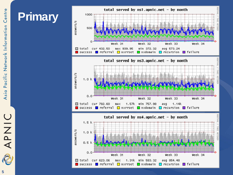# **Primary**



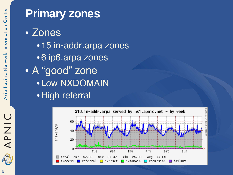

# **Primary zones**

• Zones • 15 in-addr.arpa zones • 6 ip6.arpa zones • A "good" zone • Low NXDOMAIN •High referral

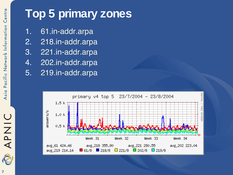### **Top 5 primary zones**

- 1. 61.in-addr.arpa
- 2. 218.in-addr.arpa
- 3. 221.in-addr.arpa
- 4. 202.in-addr.arpa
- 5. 219.in-addr.arpa



O NAP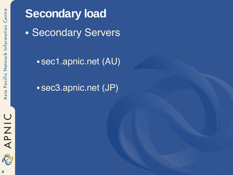APNIC R

**Secondary load** • Secondary Servers

• sec1.apnic.net (AU)

• sec3.apnic.net (JP)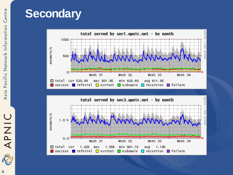#### **Secondary**





**9**

**APNIC**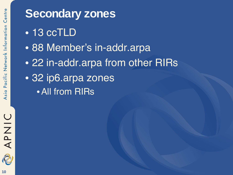

#### **Secondary zones**

- 13 ccTLD
- 88 Member's in-addr.arpa
- 22 in-addr.arpa from other RIRs
- 32 ip6.arpa zones •All from RIRs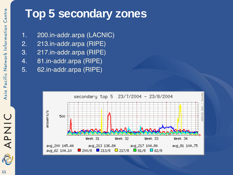#### **Top 5 secondary zones**

- 1. 200.in-addr.arpa (LACNIC)
- 2. 213.in-addr.arpa (RIPE)
- 3. 217.in-addr.arpa (RIPE)
- 4. 81.in-addr.arpa (RIPE)
- 5. 62.in-addr.arpa (RIPE)



APNIC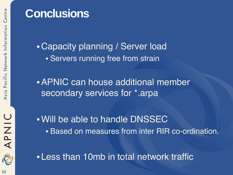#### **Conclusions**

•Capacity planning / Server load • Servers running free from strain

•APNIC can house additional member secondary services for \*.arpa

•Will be able to handle DNSSEC • Based on measures from inter RIR co-ordination.

**OINAR** 

• Less than 10mb in total network traffic